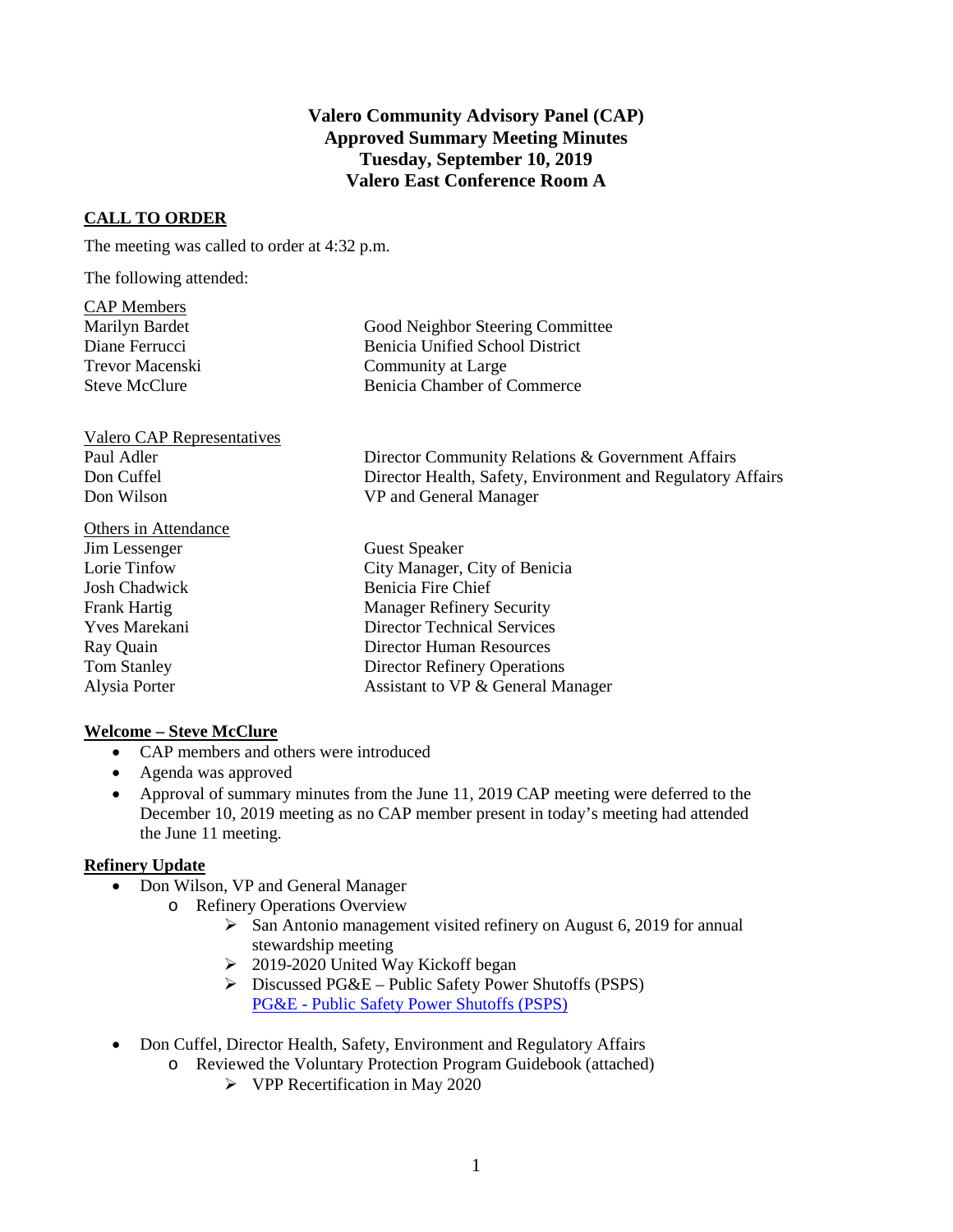## **Valero Community Advisory Panel (CAP) Approved Summary Meeting Minutes Tuesday, September 10, 2019 Valero East Conference Room A**

### **CALL TO ORDER**

The meeting was called to order at 4:32 p.m.

The following attended:

| Good Neighbor Steering Committee       |
|----------------------------------------|
| <b>Benicia Unified School District</b> |
| Community at Large                     |
| Benicia Chamber of Commerce            |
|                                        |

Valero CAP Representatives Don Wilson VP and General Manager

# Others in Attendance

Paul Adler Director Community Relations & Government Affairs Don Cuffel Director Health, Safety, Environment and Regulatory Affairs

Jim Lessenger Guest Speaker Lorie Tinfow City Manager, City of Benicia Josh Chadwick Benicia Fire Chief Frank Hartig Manager Refinery Security Yves Marekani Director Technical Services Ray Quain Director Human Resources Tom Stanley Director Refinery Operations Alysia Porter Assistant to VP & General Manager

### **Welcome – Steve McClure**

- CAP members and others were introduced
- Agenda was approved
- Approval of summary minutes from the June 11, 2019 CAP meeting were deferred to the December 10, 2019 meeting as no CAP member present in today's meeting had attended the June 11 meeting.

#### **Refinery Update**

- Don Wilson, VP and General Manager
	- o Refinery Operations Overview
		- $\triangleright$  San Antonio management visited refinery on August 6, 2019 for annual stewardship meeting
		- $\geq$  2019-2020 United Way Kickoff began
		- $\triangleright$  Discussed PG&E Public Safety Power Shutoffs (PSPS) PG&E - [Public Safety Power Shutoffs \(PSPS\)](https://www.ci.benicia.ca.us/vertical/sites/%7BF991A639-AAED-4E1A-9735-86EA195E2C8D%7D/uploads/Press_Release_PGE_PSPS_Impact_6-13-19.pdf)
- Don Cuffel, Director Health, Safety, Environment and Regulatory Affairs
	- o Reviewed the Voluntary Protection Program Guidebook (attached)
		- $\triangleright$  VPP Recertification in May 2020